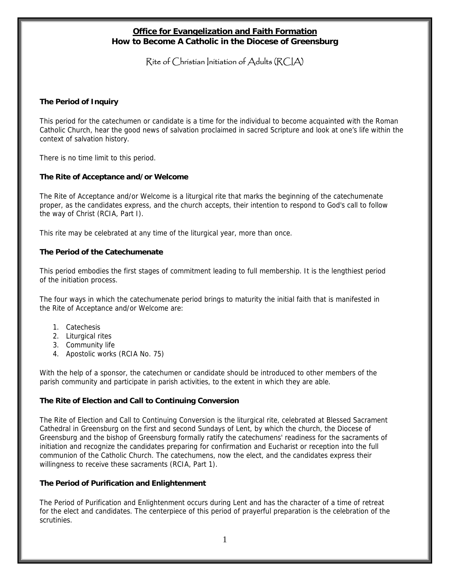## **Office for Evangelization and Faith Formation How to Become A Catholic in the Diocese of Greensburg**

# Rite of Christian Initiation of Adults (RCIA)

### **The Period of Inquiry**

This period for the catechumen or candidate is a time for the individual to become acquainted with the Roman Catholic Church, hear the good news of salvation proclaimed in sacred Scripture and look at one's life within the context of salvation history.

There is no time limit to this period.

#### **The Rite of Acceptance and/or Welcome**

The Rite of Acceptance and/or Welcome is a liturgical rite that marks the beginning of the catechumenate proper, as the candidates express, and the church accepts, their intention to respond to God's call to follow the way of Christ (RCIA, Part I).

This rite may be celebrated at any time of the liturgical year, more than once.

### **The Period of the Catechumenate**

This period embodies the first stages of commitment leading to full membership. It is the lengthiest period of the initiation process.

The four ways in which the catechumenate period brings to maturity the initial faith that is manifested in the Rite of Acceptance and/or Welcome are:

- 1. Catechesis
- 2. Liturgical rites
- 3. Community life
- 4. Apostolic works (RCIA No. 75)

With the help of a sponsor, the catechumen or candidate should be introduced to other members of the parish community and participate in parish activities, to the extent in which they are able.

### **The Rite of Election and Call to Continuing Conversion**

The Rite of Election and Call to Continuing Conversion is the liturgical rite, celebrated at Blessed Sacrament Cathedral in Greensburg on the first and second Sundays of Lent, by which the church, the Diocese of Greensburg and the bishop of Greensburg formally ratify the catechumens' readiness for the sacraments of initiation and recognize the candidates preparing for confirmation and Eucharist or reception into the full communion of the Catholic Church. The catechumens, now the elect, and the candidates express their willingness to receive these sacraments (RCIA, Part 1).

### **The Period of Purification and Enlightenment**

The Period of Purification and Enlightenment occurs during Lent and has the character of a time of retreat for the elect and candidates. The centerpiece of this period of prayerful preparation is the celebration of the scrutinies.